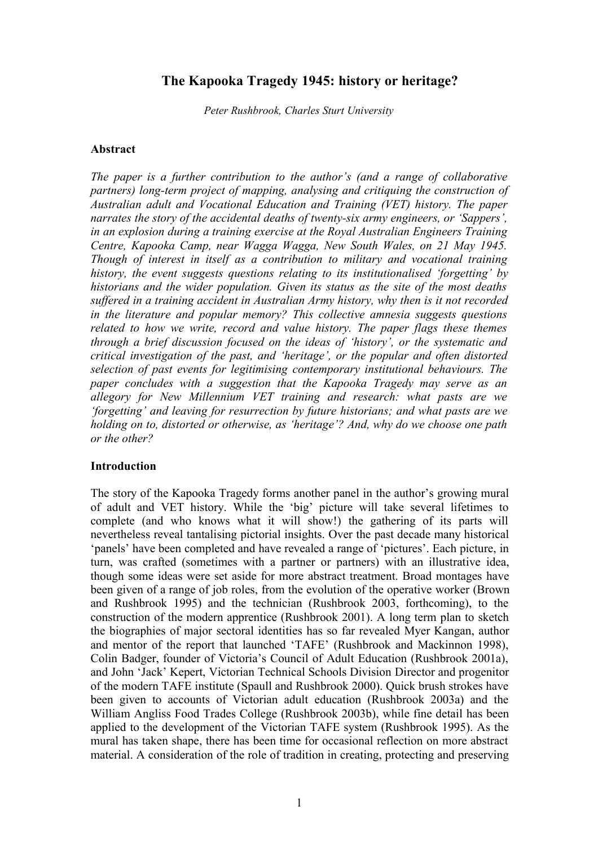# **The Kapooka Tragedy 1945: history or heritage?**

*Peter Rushbrook, Charles Sturt University*

#### **Abstract**

*The paper is a further contribution to the author's (and a range of collaborative partners) long-term project of mapping, analysing and critiquing the construction of Australian adult and Vocational Education and Training (VET) history. The paper narrates the story of the accidental deaths of twenty-six army engineers, or 'Sappers', in an explosion during a training exercise at the Royal Australian Engineers Training Centre, Kapooka Camp, near Wagga Wagga, New South Wales, on 21 May 1945. Though of interest in itself as a contribution to military and vocational training history, the event suggests questions relating to its institutionalised 'forgetting' by historians and the wider population. Given its status as the site of the most deaths suffered in a training accident in Australian Army history, why then is it not recorded in the literature and popular memory? This collective amnesia suggests questions related to how we write, record and value history. The paper flags these themes through a brief discussion focused on the ideas of 'history', or the systematic and critical investigation of the past, and 'heritage', or the popular and often distorted selection of past events for legitimising contemporary institutional behaviours. The paper concludes with a suggestion that the Kapooka Tragedy may serve as an allegory for New Millennium VET training and research: what pasts are we 'forgetting' and leaving for resurrection by future historians; and what pasts are we holding on to, distorted or otherwise, as 'heritage'? And, why do we choose one path or the other?*

### **Introduction**

The story of the Kapooka Tragedy forms another panel in the author's growing mural of adult and VET history. While the 'big' picture will take several lifetimes to complete (and who knows what it will show!) the gathering of its parts will nevertheless reveal tantalising pictorial insights. Over the past decade many historical 'panels' have been completed and have revealed a range of 'pictures'. Each picture, in turn, was crafted (sometimes with a partner or partners) with an illustrative idea, though some ideas were set aside for more abstract treatment. Broad montages have been given of a range of job roles, from the evolution of the operative worker (Brown and Rushbrook 1995) and the technician (Rushbrook 2003, forthcoming), to the construction of the modern apprentice (Rushbrook 2001). A long term plan to sketch the biographies of major sectoral identities has so far revealed Myer Kangan, author and mentor of the report that launched 'TAFE' (Rushbrook and Mackinnon 1998), Colin Badger, founder of Victoria's Council of Adult Education (Rushbrook 2001a), and John 'Jack' Kepert, Victorian Technical Schools Division Director and progenitor of the modern TAFE institute (Spaull and Rushbrook 2000). Quick brush strokes have been given to accounts of Victorian adult education (Rushbrook 2003a) and the William Angliss Food Trades College (Rushbrook 2003b), while fine detail has been applied to the development of the Victorian TAFE system (Rushbrook 1995). As the mural has taken shape, there has been time for occasional reflection on more abstract material. A consideration of the role of tradition in creating, protecting and preserving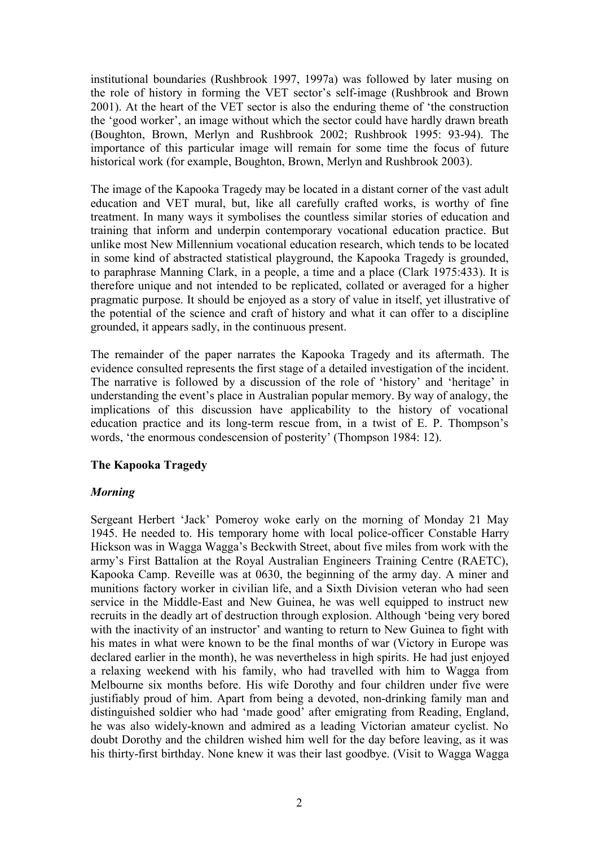institutional boundaries (Rushbrook 1997, 1997a) was followed by later musing on the role of history in forming the VET sector's self-image (Rushbrook and Brown 2001). At the heart of the VET sector is also the enduring theme of 'the construction the 'good worker', an image without which the sector could have hardly drawn breath (Boughton, Brown, Merlyn and Rushbrook 2002; Rushbrook 1995: 93-94). The importance of this particular image will remain for some time the focus of future historical work (for example, Boughton, Brown, Merlyn and Rushbrook 2003).

The image of the Kapooka Tragedy may be located in a distant corner of the vast adult education and VET mural, but, like all carefully crafted works, is worthy of fine treatment. In many ways it symbolises the countless similar stories of education and training that inform and underpin contemporary vocational education practice. But unlike most New Millennium vocational education research, which tends to be located in some kind of abstracted statistical playground, the Kapooka Tragedy is grounded, to paraphrase Manning Clark, in a people, a time and a place (Clark 1975:433). It is therefore unique and not intended to be replicated, collated or averaged for a higher pragmatic purpose. It should be enjoyed as a story of value in itself, yet illustrative of the potential of the science and craft of history and what it can offer to a discipline grounded, it appears sadly, in the continuous present.

The remainder of the paper narrates the Kapooka Tragedy and its aftermath. The evidence consulted represents the first stage of a detailed investigation of the incident. The narrative is followed by a discussion of the role of 'history' and 'heritage' in understanding the event's place in Australian popular memory. By way of analogy, the implications of this discussion have applicability to the history of vocational education practice and its long-term rescue from, in a twist of E. P. Thompson's words, 'the enormous condescension of posterity' (Thompson 1984: 12).

### **The Kapooka Tragedy**

## *Morning*

Sergeant Herbert 'Jack' Pomeroy woke early on the morning of Monday 21 May 1945. He needed to. His temporary home with local police-officer Constable Harry Hickson was in Wagga Wagga's Beckwith Street, about five miles from work with the army's First Battalion at the Royal Australian Engineers Training Centre (RAETC), Kapooka Camp. Reveille was at 0630, the beginning of the army day. A miner and munitions factory worker in civilian life, and a Sixth Division veteran who had seen service in the Middle-East and New Guinea, he was well equipped to instruct new recruits in the deadly art of destruction through explosion. Although 'being very bored with the inactivity of an instructor' and wanting to return to New Guinea to fight with his mates in what were known to be the final months of war (Victory in Europe was declared earlier in the month), he was nevertheless in high spirits. He had just enjoyed a relaxing weekend with his family, who had travelled with him to Wagga from Melbourne six months before. His wife Dorothy and four children under five were justifiably proud of him. Apart from being a devoted, non-drinking family man and distinguished soldier who had 'made good' after emigrating from Reading, England, he was also widely-known and admired as a leading Victorian amateur cyclist. No doubt Dorothy and the children wished him well for the day before leaving, as it was his thirty-first birthday. None knew it was their last goodbye. (Visit to Wagga Wagga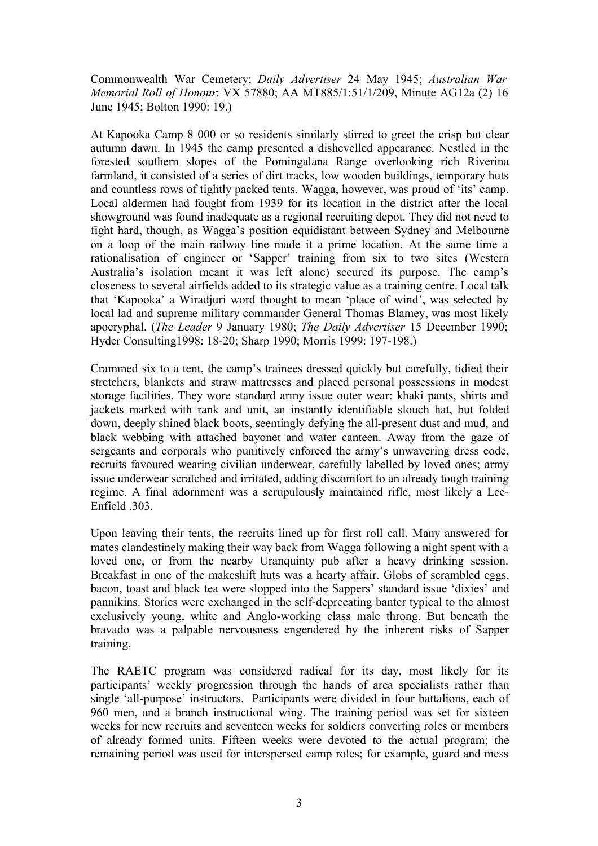Commonwealth War Cemetery; *Daily Advertiser* 24 May 1945; *Australian War Memorial Roll of Honour*: VX 57880; AA MT885/1:51/1/209, Minute AG12a (2) 16 June 1945; Bolton 1990: 19.)

At Kapooka Camp 8 000 or so residents similarly stirred to greet the crisp but clear autumn dawn. In 1945 the camp presented a dishevelled appearance. Nestled in the forested southern slopes of the Pomingalana Range overlooking rich Riverina farmland, it consisted of a series of dirt tracks, low wooden buildings, temporary huts and countless rows of tightly packed tents. Wagga, however, was proud of 'its' camp. Local aldermen had fought from 1939 for its location in the district after the local showground was found inadequate as a regional recruiting depot. They did not need to fight hard, though, as Wagga's position equidistant between Sydney and Melbourne on a loop of the main railway line made it a prime location. At the same time a rationalisation of engineer or 'Sapper' training from six to two sites (Western Australia's isolation meant it was left alone) secured its purpose. The camp's closeness to several airfields added to its strategic value as a training centre. Local talk that 'Kapooka' a Wiradjuri word thought to mean 'place of wind', was selected by local lad and supreme military commander General Thomas Blamey, was most likely apocryphal. (*The Leader* 9 January 1980; *The Daily Advertiser* 15 December 1990; Hyder Consulting1998: 18-20; Sharp 1990; Morris 1999: 197-198.)

Crammed six to a tent, the camp's trainees dressed quickly but carefully, tidied their stretchers, blankets and straw mattresses and placed personal possessions in modest storage facilities. They wore standard army issue outer wear: khaki pants, shirts and jackets marked with rank and unit, an instantly identifiable slouch hat, but folded down, deeply shined black boots, seemingly defying the all-present dust and mud, and black webbing with attached bayonet and water canteen. Away from the gaze of sergeants and corporals who punitively enforced the army's unwavering dress code, recruits favoured wearing civilian underwear, carefully labelled by loved ones; army issue underwear scratched and irritated, adding discomfort to an already tough training regime. A final adornment was a scrupulously maintained rifle, most likely a Lee-Enfield .303.

Upon leaving their tents, the recruits lined up for first roll call. Many answered for mates clandestinely making their way back from Wagga following a night spent with a loved one, or from the nearby Uranquinty pub after a heavy drinking session. Breakfast in one of the makeshift huts was a hearty affair. Globs of scrambled eggs, bacon, toast and black tea were slopped into the Sappers' standard issue 'dixies' and pannikins. Stories were exchanged in the self-deprecating banter typical to the almost exclusively young, white and Anglo-working class male throng. But beneath the bravado was a palpable nervousness engendered by the inherent risks of Sapper training.

The RAETC program was considered radical for its day, most likely for its participants' weekly progression through the hands of area specialists rather than single 'all-purpose' instructors. Participants were divided in four battalions, each of 960 men, and a branch instructional wing. The training period was set for sixteen weeks for new recruits and seventeen weeks for soldiers converting roles or members of already formed units. Fifteen weeks were devoted to the actual program; the remaining period was used for interspersed camp roles; for example, guard and mess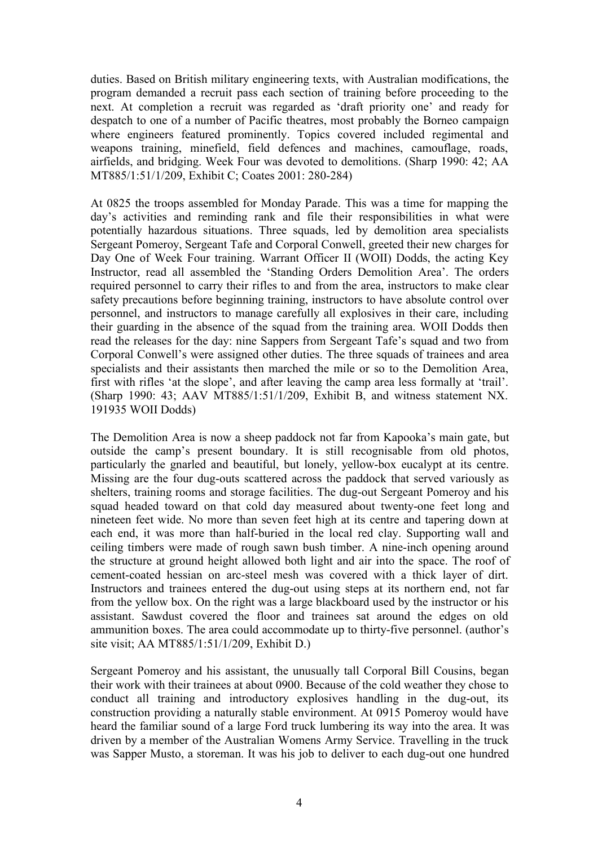duties. Based on British military engineering texts, with Australian modifications, the program demanded a recruit pass each section of training before proceeding to the next. At completion a recruit was regarded as 'draft priority one' and ready for despatch to one of a number of Pacific theatres, most probably the Borneo campaign where engineers featured prominently. Topics covered included regimental and weapons training, minefield, field defences and machines, camouflage, roads, airfields, and bridging. Week Four was devoted to demolitions. (Sharp 1990: 42; AA MT885/1:51/1/209, Exhibit C; Coates 2001: 280-284)

At 0825 the troops assembled for Monday Parade. This was a time for mapping the day's activities and reminding rank and file their responsibilities in what were potentially hazardous situations. Three squads, led by demolition area specialists Sergeant Pomeroy, Sergeant Tafe and Corporal Conwell, greeted their new charges for Day One of Week Four training. Warrant Officer II (WOII) Dodds, the acting Key Instructor, read all assembled the 'Standing Orders Demolition Area'. The orders required personnel to carry their rifles to and from the area, instructors to make clear safety precautions before beginning training, instructors to have absolute control over personnel, and instructors to manage carefully all explosives in their care, including their guarding in the absence of the squad from the training area. WOII Dodds then read the releases for the day: nine Sappers from Sergeant Tafe's squad and two from Corporal Conwell's were assigned other duties. The three squads of trainees and area specialists and their assistants then marched the mile or so to the Demolition Area, first with rifles 'at the slope', and after leaving the camp area less formally at 'trail'. (Sharp 1990: 43; AAV MT885/1:51/1/209, Exhibit B, and witness statement NX. 191935 WOII Dodds)

The Demolition Area is now a sheep paddock not far from Kapooka's main gate, but outside the camp's present boundary. It is still recognisable from old photos, particularly the gnarled and beautiful, but lonely, yellow-box eucalypt at its centre. Missing are the four dug-outs scattered across the paddock that served variously as shelters, training rooms and storage facilities. The dug-out Sergeant Pomeroy and his squad headed toward on that cold day measured about twenty-one feet long and nineteen feet wide. No more than seven feet high at its centre and tapering down at each end, it was more than half-buried in the local red clay. Supporting wall and ceiling timbers were made of rough sawn bush timber. A nine-inch opening around the structure at ground height allowed both light and air into the space. The roof of cement-coated hessian on arc-steel mesh was covered with a thick layer of dirt. Instructors and trainees entered the dug-out using steps at its northern end, not far from the yellow box. On the right was a large blackboard used by the instructor or his assistant. Sawdust covered the floor and trainees sat around the edges on old ammunition boxes. The area could accommodate up to thirty-five personnel. (author's site visit; AA MT885/1:51/1/209, Exhibit D.)

Sergeant Pomeroy and his assistant, the unusually tall Corporal Bill Cousins, began their work with their trainees at about 0900. Because of the cold weather they chose to conduct all training and introductory explosives handling in the dug-out, its construction providing a naturally stable environment. At 0915 Pomeroy would have heard the familiar sound of a large Ford truck lumbering its way into the area. It was driven by a member of the Australian Womens Army Service. Travelling in the truck was Sapper Musto, a storeman. It was his job to deliver to each dug-out one hundred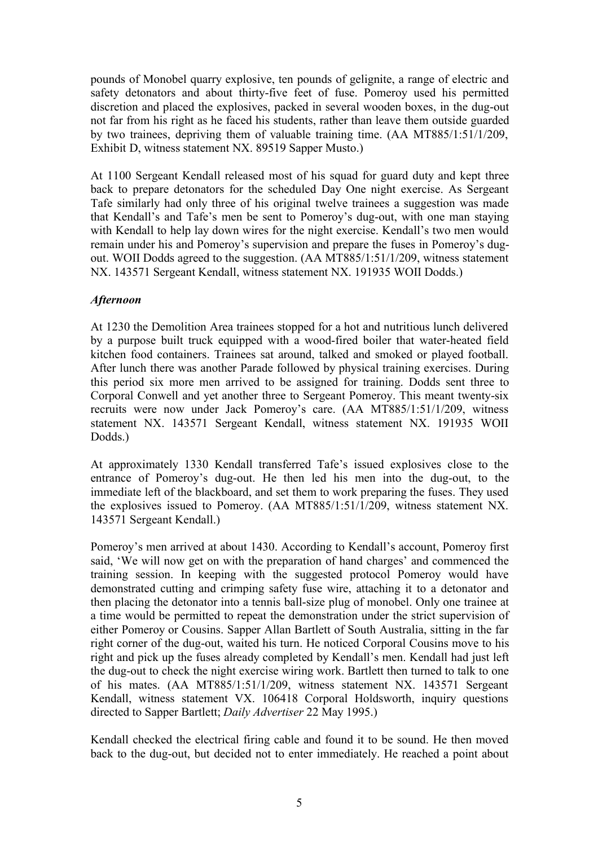pounds of Monobel quarry explosive, ten pounds of gelignite, a range of electric and safety detonators and about thirty-five feet of fuse. Pomeroy used his permitted discretion and placed the explosives, packed in several wooden boxes, in the dug-out not far from his right as he faced his students, rather than leave them outside guarded by two trainees, depriving them of valuable training time. (AA MT885/1:51/1/209, Exhibit D, witness statement NX. 89519 Sapper Musto.)

At 1100 Sergeant Kendall released most of his squad for guard duty and kept three back to prepare detonators for the scheduled Day One night exercise. As Sergeant Tafe similarly had only three of his original twelve trainees a suggestion was made that Kendall's and Tafe's men be sent to Pomeroy's dug-out, with one man staying with Kendall to help lay down wires for the night exercise. Kendall's two men would remain under his and Pomeroy's supervision and prepare the fuses in Pomeroy's dugout. WOII Dodds agreed to the suggestion. (AA MT885/1:51/1/209, witness statement NX. 143571 Sergeant Kendall, witness statement NX. 191935 WOII Dodds.)

## *Afternoon*

At 1230 the Demolition Area trainees stopped for a hot and nutritious lunch delivered by a purpose built truck equipped with a wood-fired boiler that water-heated field kitchen food containers. Trainees sat around, talked and smoked or played football. After lunch there was another Parade followed by physical training exercises. During this period six more men arrived to be assigned for training. Dodds sent three to Corporal Conwell and yet another three to Sergeant Pomeroy. This meant twenty-six recruits were now under Jack Pomeroy's care. (AA MT885/1:51/1/209, witness statement NX. 143571 Sergeant Kendall, witness statement NX. 191935 WOII Dodds.)

At approximately 1330 Kendall transferred Tafe's issued explosives close to the entrance of Pomeroy's dug-out. He then led his men into the dug-out, to the immediate left of the blackboard, and set them to work preparing the fuses. They used the explosives issued to Pomeroy. (AA MT885/1:51/1/209, witness statement NX. 143571 Sergeant Kendall.)

Pomeroy's men arrived at about 1430. According to Kendall's account, Pomeroy first said, 'We will now get on with the preparation of hand charges' and commenced the training session. In keeping with the suggested protocol Pomeroy would have demonstrated cutting and crimping safety fuse wire, attaching it to a detonator and then placing the detonator into a tennis ball-size plug of monobel. Only one trainee at a time would be permitted to repeat the demonstration under the strict supervision of either Pomeroy or Cousins. Sapper Allan Bartlett of South Australia, sitting in the far right corner of the dug-out, waited his turn. He noticed Corporal Cousins move to his right and pick up the fuses already completed by Kendall's men. Kendall had just left the dug-out to check the night exercise wiring work. Bartlett then turned to talk to one of his mates. (AA MT885/1:51/1/209, witness statement NX. 143571 Sergeant Kendall, witness statement VX. 106418 Corporal Holdsworth, inquiry questions directed to Sapper Bartlett; *Daily Advertiser* 22 May 1995.)

Kendall checked the electrical firing cable and found it to be sound. He then moved back to the dug-out, but decided not to enter immediately. He reached a point about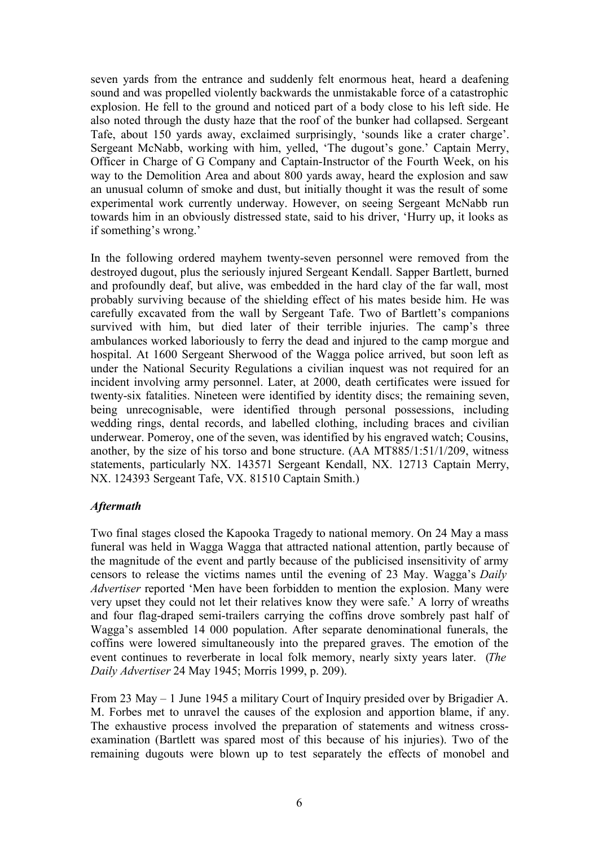seven yards from the entrance and suddenly felt enormous heat, heard a deafening sound and was propelled violently backwards the unmistakable force of a catastrophic explosion. He fell to the ground and noticed part of a body close to his left side. He also noted through the dusty haze that the roof of the bunker had collapsed. Sergeant Tafe, about 150 yards away, exclaimed surprisingly, 'sounds like a crater charge'. Sergeant McNabb, working with him, yelled, 'The dugout's gone.' Captain Merry, Officer in Charge of G Company and Captain-Instructor of the Fourth Week, on his way to the Demolition Area and about 800 yards away, heard the explosion and saw an unusual column of smoke and dust, but initially thought it was the result of some experimental work currently underway. However, on seeing Sergeant McNabb run towards him in an obviously distressed state, said to his driver, 'Hurry up, it looks as if something's wrong.'

In the following ordered mayhem twenty-seven personnel were removed from the destroyed dugout, plus the seriously injured Sergeant Kendall. Sapper Bartlett, burned and profoundly deaf, but alive, was embedded in the hard clay of the far wall, most probably surviving because of the shielding effect of his mates beside him. He was carefully excavated from the wall by Sergeant Tafe. Two of Bartlett's companions survived with him, but died later of their terrible injuries. The camp's three ambulances worked laboriously to ferry the dead and injured to the camp morgue and hospital. At 1600 Sergeant Sherwood of the Wagga police arrived, but soon left as under the National Security Regulations a civilian inquest was not required for an incident involving army personnel. Later, at 2000, death certificates were issued for twenty-six fatalities. Nineteen were identified by identity discs; the remaining seven, being unrecognisable, were identified through personal possessions, including wedding rings, dental records, and labelled clothing, including braces and civilian underwear. Pomeroy, one of the seven, was identified by his engraved watch; Cousins, another, by the size of his torso and bone structure. (AA MT885/1:51/1/209, witness statements, particularly NX. 143571 Sergeant Kendall, NX. 12713 Captain Merry, NX. 124393 Sergeant Tafe, VX. 81510 Captain Smith.)

### *Aftermath*

Two final stages closed the Kapooka Tragedy to national memory. On 24 May a mass funeral was held in Wagga Wagga that attracted national attention, partly because of the magnitude of the event and partly because of the publicised insensitivity of army censors to release the victims names until the evening of 23 May. Wagga's *Daily Advertiser* reported 'Men have been forbidden to mention the explosion. Many were very upset they could not let their relatives know they were safe.' A lorry of wreaths and four flag-draped semi-trailers carrying the coffins drove sombrely past half of Wagga's assembled 14 000 population. After separate denominational funerals, the coffins were lowered simultaneously into the prepared graves. The emotion of the event continues to reverberate in local folk memory, nearly sixty years later. (*The Daily Advertiser* 24 May 1945; Morris 1999, p. 209).

From 23 May – 1 June 1945 a military Court of Inquiry presided over by Brigadier A. M. Forbes met to unravel the causes of the explosion and apportion blame, if any. The exhaustive process involved the preparation of statements and witness crossexamination (Bartlett was spared most of this because of his injuries). Two of the remaining dugouts were blown up to test separately the effects of monobel and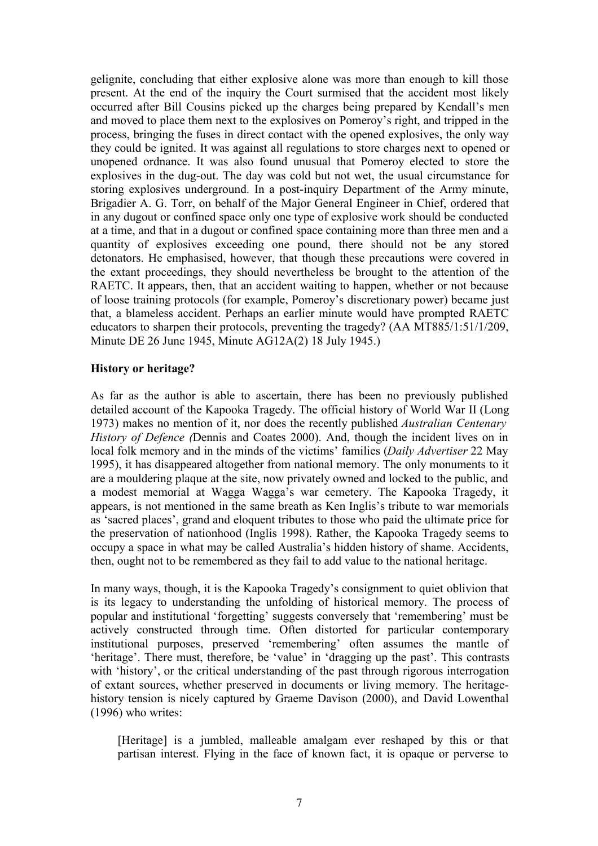gelignite, concluding that either explosive alone was more than enough to kill those present. At the end of the inquiry the Court surmised that the accident most likely occurred after Bill Cousins picked up the charges being prepared by Kendall's men and moved to place them next to the explosives on Pomeroy's right, and tripped in the process, bringing the fuses in direct contact with the opened explosives, the only way they could be ignited. It was against all regulations to store charges next to opened or unopened ordnance. It was also found unusual that Pomeroy elected to store the explosives in the dug-out. The day was cold but not wet, the usual circumstance for storing explosives underground. In a post-inquiry Department of the Army minute, Brigadier A. G. Torr, on behalf of the Major General Engineer in Chief, ordered that in any dugout or confined space only one type of explosive work should be conducted at a time, and that in a dugout or confined space containing more than three men and a quantity of explosives exceeding one pound, there should not be any stored detonators. He emphasised, however, that though these precautions were covered in the extant proceedings, they should nevertheless be brought to the attention of the RAETC. It appears, then, that an accident waiting to happen, whether or not because of loose training protocols (for example, Pomeroy's discretionary power) became just that, a blameless accident. Perhaps an earlier minute would have prompted RAETC educators to sharpen their protocols, preventing the tragedy? (AA MT885/1:51/1/209, Minute DE 26 June 1945, Minute AG12A(2) 18 July 1945.)

### **History or heritage?**

As far as the author is able to ascertain, there has been no previously published detailed account of the Kapooka Tragedy. The official history of World War II (Long 1973) makes no mention of it, nor does the recently published *Australian Centenary History of Defence (*Dennis and Coates 2000). And, though the incident lives on in local folk memory and in the minds of the victims' families (*Daily Advertiser* 22 May 1995), it has disappeared altogether from national memory. The only monuments to it are a mouldering plaque at the site, now privately owned and locked to the public, and a modest memorial at Wagga Wagga's war cemetery. The Kapooka Tragedy, it appears, is not mentioned in the same breath as Ken Inglis's tribute to war memorials as 'sacred places', grand and eloquent tributes to those who paid the ultimate price for the preservation of nationhood (Inglis 1998). Rather, the Kapooka Tragedy seems to occupy a space in what may be called Australia's hidden history of shame. Accidents, then, ought not to be remembered as they fail to add value to the national heritage.

In many ways, though, it is the Kapooka Tragedy's consignment to quiet oblivion that is its legacy to understanding the unfolding of historical memory. The process of popular and institutional 'forgetting' suggests conversely that 'remembering' must be actively constructed through time. Often distorted for particular contemporary institutional purposes, preserved 'remembering' often assumes the mantle of 'heritage'. There must, therefore, be 'value' in 'dragging up the past'. This contrasts with 'history', or the critical understanding of the past through rigorous interrogation of extant sources, whether preserved in documents or living memory. The heritagehistory tension is nicely captured by Graeme Davison (2000), and David Lowenthal (1996) who writes:

[Heritage] is a jumbled, malleable amalgam ever reshaped by this or that partisan interest. Flying in the face of known fact, it is opaque or perverse to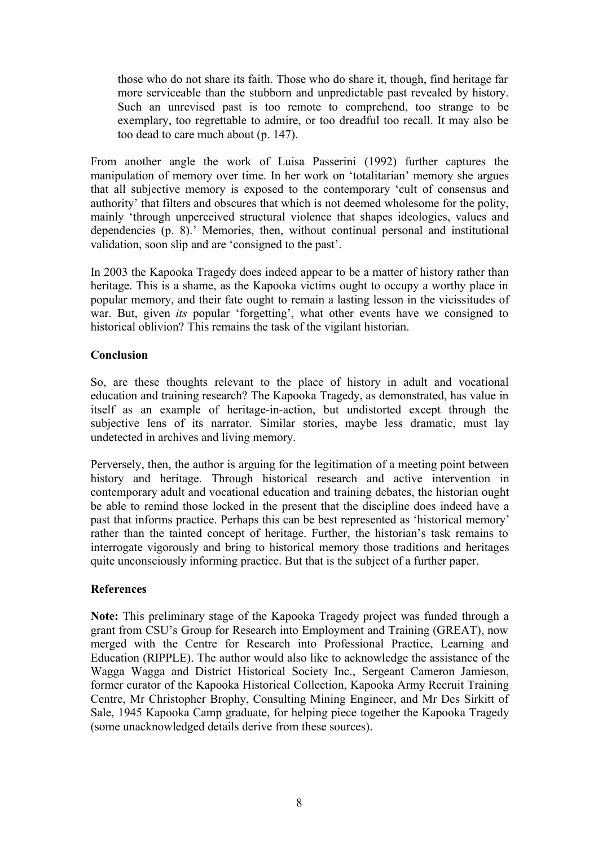those who do not share its faith. Those who do share it, though, find heritage far more serviceable than the stubborn and unpredictable past revealed by history. Such an unrevised past is too remote to comprehend, too strange to be exemplary, too regrettable to admire, or too dreadful too recall. It may also be too dead to care much about (p. 147).

From another angle the work of Luisa Passerini (1992) further captures the manipulation of memory over time. In her work on 'totalitarian' memory she argues that all subjective memory is exposed to the contemporary 'cult of consensus and authority' that filters and obscures that which is not deemed wholesome for the polity, mainly 'through unperceived structural violence that shapes ideologies, values and dependencies (p. 8).' Memories, then, without continual personal and institutional validation, soon slip and are 'consigned to the past'.

In 2003 the Kapooka Tragedy does indeed appear to be a matter of history rather than heritage. This is a shame, as the Kapooka victims ought to occupy a worthy place in popular memory, and their fate ought to remain a lasting lesson in the vicissitudes of war. But, given *its* popular 'forgetting', what other events have we consigned to historical oblivion? This remains the task of the vigilant historian.

## **Conclusion**

So, are these thoughts relevant to the place of history in adult and vocational education and training research? The Kapooka Tragedy, as demonstrated, has value in itself as an example of heritage-in-action, but undistorted except through the subjective lens of its narrator. Similar stories, maybe less dramatic, must lay undetected in archives and living memory.

Perversely, then, the author is arguing for the legitimation of a meeting point between history and heritage. Through historical research and active intervention in contemporary adult and vocational education and training debates, the historian ought be able to remind those locked in the present that the discipline does indeed have a past that informs practice. Perhaps this can be best represented as 'historical memory' rather than the tainted concept of heritage. Further, the historian's task remains to interrogate vigorously and bring to historical memory those traditions and heritages quite unconsciously informing practice. But that is the subject of a further paper.

## **References**

**Note:** This preliminary stage of the Kapooka Tragedy project was funded through a grant from CSU's Group for Research into Employment and Training (GREAT), now merged with the Centre for Research into Professional Practice, Learning and Education (RIPPLE). The author would also like to acknowledge the assistance of the Wagga Wagga and District Historical Society Inc., Sergeant Cameron Jamieson, former curator of the Kapooka Historical Collection, Kapooka Army Recruit Training Centre, Mr Christopher Brophy, Consulting Mining Engineer, and Mr Des Sirkitt of Sale, 1945 Kapooka Camp graduate, for helping piece together the Kapooka Tragedy (some unacknowledged details derive from these sources).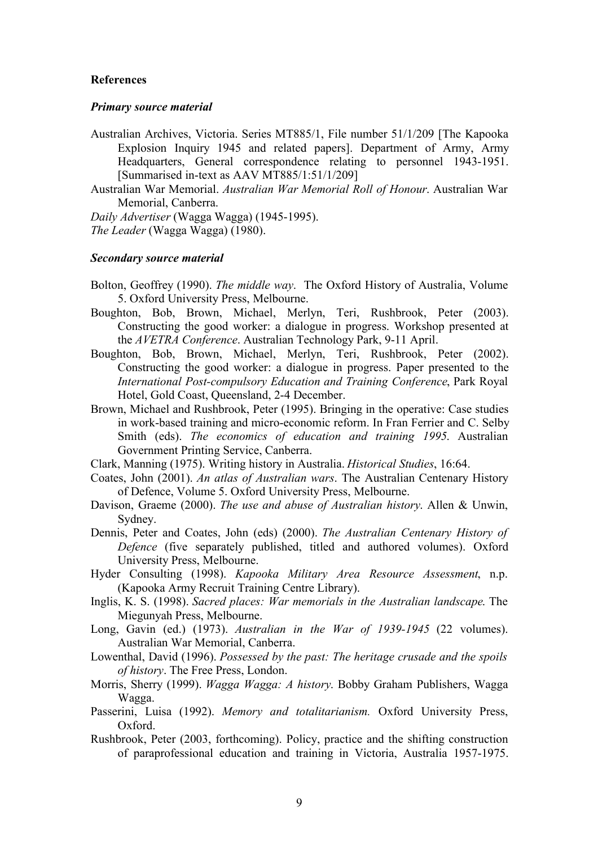#### **References**

#### *Primary source material*

- Australian Archives, Victoria. Series MT885/1, File number 51/1/209 [The Kapooka Explosion Inquiry 1945 and related papers]. Department of Army, Army Headquarters, General correspondence relating to personnel 1943-1951. [Summarised in-text as AAV MT885/1:51/1/209]
- Australian War Memorial. *Australian War Memorial Roll of Honour*. Australian War Memorial, Canberra.

*Daily Advertiser* (Wagga Wagga) (1945-1995).

*The Leader* (Wagga Wagga) (1980).

#### *Secondary source material*

- Bolton, Geoffrey (1990). *The middle way*. The Oxford History of Australia, Volume 5. Oxford University Press, Melbourne.
- Boughton, Bob, Brown, Michael, Merlyn, Teri, Rushbrook, Peter (2003). Constructing the good worker: a dialogue in progress. Workshop presented at the *AVETRA Conference*. Australian Technology Park, 9-11 April.
- Boughton, Bob, Brown, Michael, Merlyn, Teri, Rushbrook, Peter (2002). Constructing the good worker: a dialogue in progress. Paper presented to the *International Post-compulsory Education and Training Conference*, Park Royal Hotel, Gold Coast, Queensland, 2-4 December.
- Brown, Michael and Rushbrook, Peter (1995). Bringing in the operative: Case studies in work-based training and micro-economic reform. In Fran Ferrier and C. Selby Smith (eds). *The economics of education and training 1995*. Australian Government Printing Service, Canberra.
- Clark, Manning (1975). Writing history in Australia. *Historical Studies*, 16:64.
- Coates, John (2001). *An atlas of Australian wars*. The Australian Centenary History of Defence, Volume 5. Oxford University Press, Melbourne.
- Davison, Graeme (2000). *The use and abuse of Australian history*. Allen & Unwin, Sydney.
- Dennis, Peter and Coates, John (eds) (2000). *The Australian Centenary History of Defence* (five separately published, titled and authored volumes). Oxford University Press, Melbourne.
- Hyder Consulting (1998). *Kapooka Military Area Resource Assessment*, n.p. (Kapooka Army Recruit Training Centre Library).
- Inglis, K. S. (1998). *Sacred places: War memorials in the Australian landscape*. The Miegunyah Press, Melbourne.
- Long, Gavin (ed.) (1973). *Australian in the War of 1939-1945* (22 volumes). Australian War Memorial, Canberra.
- Lowenthal, David (1996). *Possessed by the past: The heritage crusade and the spoils of history*. The Free Press, London.
- Morris, Sherry (1999). *Wagga Wagga: A history*. Bobby Graham Publishers, Wagga Wagga.
- Passerini, Luisa (1992). *Memory and totalitarianism.* Oxford University Press, Oxford.
- Rushbrook, Peter (2003, forthcoming). Policy, practice and the shifting construction of paraprofessional education and training in Victoria, Australia 1957-1975.